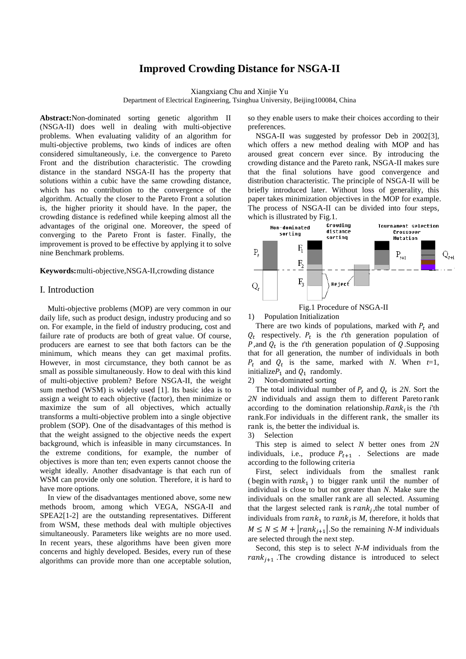# **Improved Crowding Distance for NSGA-II**

Xiangxiang Chu and Xinjie Yu

Department of Electrical Engineering, Tsinghua University, Beijing100084, China

**Abstract:**Non-dominated sorting genetic algorithm II (NSGA-II) does well in dealing with multi-objective problems. When evaluating validity of an algorithm for multi-objective problems, two kinds of indices are often considered simultaneously, i.e. the convergence to Pareto Front and the distribution characteristic. The crowding distance in the standard NSGA-II has the property that solutions within a cubic have the same crowding distance, which has no contribution to the convergence of the algorithm. Actually the closer to the Pareto Front a solution is, the higher priority it should have. In the paper, the crowding distance is redefined while keeping almost all the advantages of the original one. Moreover, the speed of converging to the Pareto Front is faster. Finally, the improvement is proved to be effective by applying it to solve nine Benchmark problems.

**Keywords:**multi-objective,NSGA-II,crowding distance

## I. Introduction

Multi-objective problems (MOP) are very common in our daily life, such as product design, industry producing and so on. For example, in the field of industry producing, cost and failure rate of products are both of great value. Of course, producers are earnest to see that both factors can be the minimum, which means they can get maximal profits. However, in most circumstance, they both cannot be as small as possible simultaneously. How to deal with this kind of multi-objective problem? Before NSGA-II, the weight sum method (WSM) is widely used [1]. Its basic idea is to assign a weight to each objective (factor), then minimize or maximize the sum of all objectives, which actually transforms a multi-objective problem into a single objective problem (SOP). One of the disadvantages of this method is that the weight assigned to the objective needs the expert background, which is infeasible in many circumstances. In the extreme conditions, for example, the number of objectives is more than ten; even experts cannot choose the weight ideally. Another disadvantage is that each run of WSM can provide only one solution. Therefore, it is hard to have more options.

In view of the disadvantages mentioned above, some new methods broom, among which VEGA, NSGA-II and SPEA2[1-2] are the outstanding representatives. Different from WSM, these methods deal with multiple objectives simultaneously. Parameters like weights are no more used. In recent years, these algorithms have been given more concerns and highly developed. Besides, every run of these algorithms can provide more than one acceptable solution, so they enable users to make their choices according to their preferences.

NSGA-II was suggested by professor Deb in 2002[3], which offers a new method dealing with MOP and has aroused great concern ever since. By introducing the crowding distance and the Pareto rank, NSGA-II makes sure that the final solutions have good convergence and distribution characteristic. The principle of NSGA-II will be briefly introduced later. Without loss of generality, this paper takes minimization objectives in the MOP for example. The process of NSGA-II can be divided into four steps,





<span id="page-0-0"></span>1) Population Initialization

There are two kinds of populations, marked with  $P_t$  and  $Q_t$  respectively.  $P_t$  is the *t*'th generation population of *P*,and  $Q_t$  is the *t*'th generation population of Q. Supposing that for all generation, the number of individuals in both  $P_t$  and  $Q_t$  is the same, marked with *N*. When  $t=1$ , initialize $P_1$  and  $Q_1$  randomly.

2) Non-dominated sorting

The total individual number of  $P_t$  and  $Q_t$  is 2N. Sort the *2N* individuals and assign them to different Pareto rank according to the domination relationship.  $Rank_i$  is the *i*<sup>th</sup> rank.For individuals in the different rank, the smaller its rank is, the better the individual is.

3) Selection

This step is aimed to select *N* better ones from *2N*  individuals, i.e., produce  $P_{t+1}$ . Selections are made according to the following criteria

First, select individuals from the smallest rank (begin with  $rank_1$ ) to bigger rank until the number of individual is close to but not greater than *N*. Make sure the individuals on the smaller rank are all selected. Assuming that the largest selected rank is  $rank_j$ , the total number of individuals from  $rank_1$  to  $rank_j$  is  $M$ , therefore, it holds that  $M \leq N \leq M + |rank_{j+1}|$ . So the remaining *N-M* individuals are selected through the next step.

Second, this step is to select *N-M* individuals from the  $rank_{j+1}$ . The crowding distance is introduced to select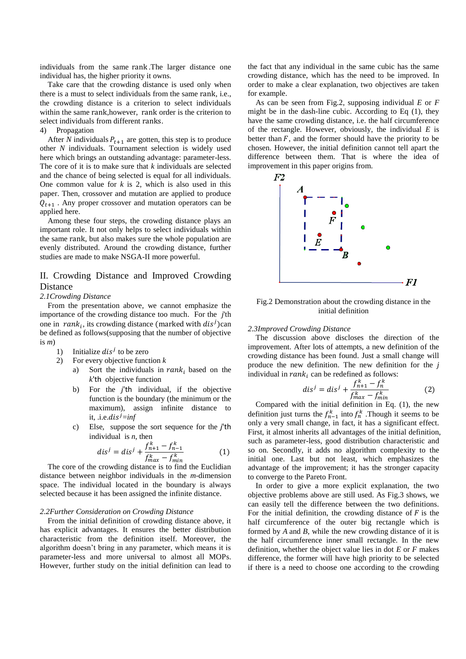individuals from the same rank .The larger distance one individual has, the higher priority it owns.

Take care that the crowding distance is used only when there is a must to select individuals from the same rank, i.e., the crowding distance is a criterion to select individuals within the same rank,however, rank order is the criterion to select individuals from different ranks.

#### 4) Propagation

After *N* individuals  $P_{t+1}$  are gotten, this step is to produce other *N* individuals. Tournament selection is widely used here which brings an outstanding advantage: parameter-less. The core of it is to make sure that *k* individuals are selected and the chance of being selected is equal for all individuals. One common value for *k* is 2, which is also used in this paper. Then, crossover and mutation are applied to produce  $Q_{t+1}$ . Any proper crossover and mutation operators can be applied here.

Among these four steps, the crowding distance plays an important role. It not only helps to select individuals within the same rank, but also makes sure the whole population are evenly distributed. Around the crowding distance, further studies are made to make NSGA-II more powerful.

# II. Crowding Distance and Improved Crowding Distance

### *2.1Crowding Distance*

From the presentation above, we cannot emphasize the importance of the crowding distance too much. For the *j*'th one in  $rank_i$ , its crowding distance (marked with  $dis<sup>j</sup>$ )can be defined as follows(supposing that the number of objective is *m*)

- 1) Initialize  $dis^j$  to be zero
- 2) For every objective function *k*
	- a) Sort the individuals in  $rank_i$  based on the *k*'th objective function
	- b) For the *j*'th individual, if the objective function is the boundary (the minimum or the maximum), assign infinite distance to it, .*i.e.dis*<sup> $j$ </sup>=*inf*
	- c) Else, suppose the sort sequence for the *j*'th individual is *n*, then

$$
dis^{j} = dis^{j} + \frac{f_{n+1}^{k} - f_{n-1}^{k}}{f_{max}^{k} - f_{min}^{k}}
$$
 (1)

The core of the crowding distance is to find the Euclidian distance between neighbor individuals in the *m*-dimension space. The individual located in the boundary is always selected because it has been assigned the infinite distance.

#### *2.2Further Consideration on Crowding Distance*

From the initial definition of crowding distance above, it has explicit advantages. It ensures the better distribution characteristic from the definition itself. Moreover, the algorithm doesn't bring in any parameter, which means it is parameter-less and more universal to almost all MOPs. However, further study on the initial definition can lead to

the fact that any individual in the same cubic has the same crowding distance, which has the need to be improved. In order to make a clear explanation, two objectives are taken for example.

As can be seen from [Fig.2,](#page-1-0) supposing individual *E* or *F* might be in the dash-line cubic. According to Eq (1), they have the same crowding distance, i.e. the half circumference of the rectangle. However, obviously, the individual *E* is better than  $F$ , and the former should have the priority to be chosen. However, the initial definition cannot tell apart the difference between them. That is where the idea of improvement in this paper origins from.



<span id="page-1-0"></span>Fig.2 Demonstration about the crowding distance in the initial definition

### *2.3Improved Crowding Distance*

The discussion above discloses the direction of the improvement. After lots of attempts, a new definition of the crowding distance has been found. Just a small change will produce the new definition. The new definition for the *j* individual in  $rank_i$  can be redefined as follows:

$$
dis^{j} = dis^{j} + \frac{f_{n+1}^{k} - f_{n}^{k}}{f_{max}^{k} - f_{min}^{k}}
$$
 (2)

Compared with the initial definition in Eq. (1), the new definition just turns the  $f_{n-1}^k$  into  $f_n^k$ . Though it seems to be only a very small change, in fact, it has a significant effect. First, it almost inherits all advantages of the initial definition, such as parameter-less, good distribution characteristic and so on. Secondly, it adds no algorithm complexity to the initial one. Last but not least, which emphasizes the advantage of the improvement; it has the stronger capacity to converge to the Pareto Front.

In order to give a more explicit explanation, the two objective problems above are still used. As [Fig.3](#page-2-0) shows, we can easily tell the difference between the two definitions. For the initial definition, the crowding distance of  $F$  is the half circumference of the outer big rectangle which is formed by *A* and *B*, while the new crowding distance of it is the half circumference inner small rectangle. In the new definition, whether the object value lies in dot *E* or *F* makes difference, the former will have high priority to be selected if there is a need to choose one according to the crowding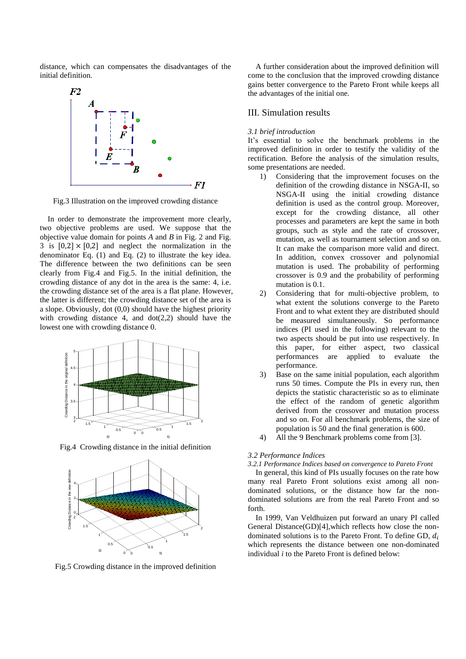distance, which can compensates the disadvantages of the initial definition.



<span id="page-2-0"></span>Fig.3 Illustration on the improved crowding distance

In order to demonstrate the improvement more clearly, two objective problems are used. We suppose that the objective value domain for points *A* and *B* in Fig. 2 and Fig. 3 is  $[0.2] \times [0.2]$  and neglect the normalization in the denominator Eq. (1) and Eq. (2) to illustrate the key idea. The difference between the two definitions can be seen clearly from [Fig.4](#page-2-1) and [Fig.5.](#page-2-2) In the initial definition, the crowding distance of any dot in the area is the same: 4, i.e. the crowding distance set of the area is a flat plane. However, the latter is different; the crowding distance set of the area is a slope. Obviously, dot (0,0) should have the highest priority with crowding distance 4, and  $dot(2,2)$  should have the lowest one with crowding distance 0.



<span id="page-2-1"></span>Fig.4 Crowding distance in the initial definition



<span id="page-2-2"></span>Fig.5 Crowding distance in the improved definition

A further consideration about the improved definition will come to the conclusion that the improved crowding distance gains better convergence to the Pareto Front while keeps all the advantages of the initial one.

# III. Simulation results

### *3.1 brief introduction*

It's essential to solve the benchmark problems in the improved definition in order to testify the validity of the rectification. Before the analysis of the simulation results, some presentations are needed.

- 1) Considering that the improvement focuses on the definition of the crowding distance in NSGA-II, so NSGA-II using the initial crowding distance definition is used as the control group. Moreover, except for the crowding distance, all other processes and parameters are kept the same in both groups, such as style and the rate of crossover, mutation, as well as tournament selection and so on. It can make the comparison more valid and direct. In addition, convex crossover and polynomial mutation is used. The probability of performing crossover is 0.9 and the probability of performing mutation is 0.1.
- 2) Considering that for multi-objective problem, to what extent the solutions converge to the Pareto Front and to what extent they are distributed should be measured simultaneously. So performance indices (PI used in the following) relevant to the two aspects should be put into use respectively. In this paper, for either aspect, two classical performances are applied to evaluate the performance.
- 3) Base on the same initial population, each algorithm runs 50 times. Compute the PIs in every run, then depicts the statistic characteristic so as to eliminate the effect of the random of genetic algorithm derived from the crossover and mutation process and so on. For all benchmark problems, the size of population is 50 and the final generation is 600.
- 4) All the 9 Benchmark problems come from [3].

### *3.2 Performance Indices*

*3.2.1 Performance Indices based on convergence to Pareto Front*

In general, this kind of PIs usually focuses on the rate how many real Pareto Front solutions exist among all nondominated solutions, or the distance how far the nondominated solutions are from the real Pareto Front and so forth.

In 1999, Van Veldhuizen put forward an unary PI called General Distance(GD)[4],which reflects how close the nondominated solutions is to the Pareto Front. To define GD,  $d_i$ which represents the distance between one non-dominated individual *i* to the Pareto Front is defined below: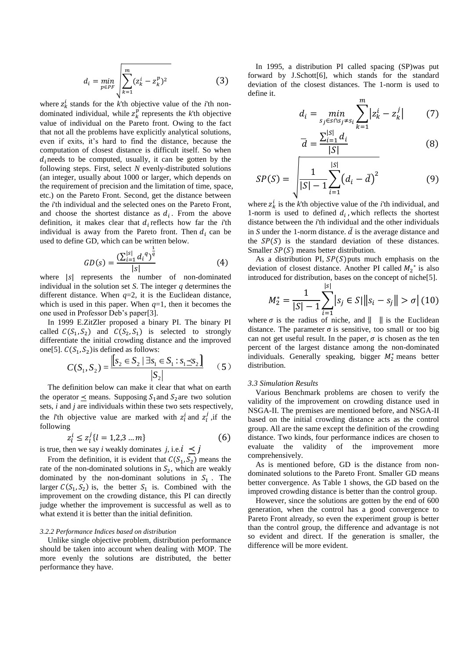$$
d_i = \min_{p \in PF} \sqrt{\sum_{k=1}^{m} (z_k^i - z_k^p)^2}
$$
 (3)

where  $z_k^i$  stands for the *k*'th objective value of the *i*'th nondominated individual, while  $z_k^p$  represents the *k*'th objective value of individual on the Pareto front. Owing to the fact that not all the problems have explicitly analytical solutions, even if exits, it's hard to find the distance, because the computation of closest distance is difficult itself. So when  $d_i$  needs to be computed, usually, it can be gotten by the following steps. First, select *N* evenly-distributed solutions (an integer, usually about 1000 or larger, which depends on the requirement of precision and the limitation of time, space, etc.) on the Pareto Front. Second, get the distance between the *i*'th individual and the selected ones on the Pareto Front, and choose the shortest distance as  $d_i$ . From the above definition, it makes clear that  $d_i$  reflects how far the *i*<sup>th</sup> individual is away from the Pareto front. Then  $d_i$  can be used to define GD, which can be written below.

$$
GD(s) = \frac{\left(\sum_{i=1}^{|s|} d_i^q\right)^{\frac{1}{q}}}{|s|} \tag{4}
$$

where  $|s|$  represents the number of non-dominated individual in the solution set *S*. The integer *q* determines the different distance. When  $q=2$ , it is the Euclidean distance, which is used in this paper. When  $q=1$ , then it becomes the one used in Professor Deb's paper[3].

In 1999 E.ZitZler proposed a binary PI. The binary PI called  $C(S_1, S_2)$  and  $C(S_2, S_1)$  is selected to strongly differentiate the initial crowding distance and the improved one[5].  $C(S_1, S_2)$  is defined as follows:

$$
C(S_1, S_2) = \frac{\left| S_2 \in S_2 \mid \exists s_1 \in S_1 : s_1 \preceq s_2 \right|}{|S_2|} \qquad (5)
$$

The definition below can make it clear that what on earth the operator  $\prec$  means. Supposing  $S_1$  and  $S_2$  are two solution sets, *i* and *j* are individuals within these two sets respectively, the *l*'th objective value are marked with  $z_l^i$  and  $z_l^j$ , if the following

$$
z_l^i \le z_l^j \{l = 1, 2, 3 \dots m\}
$$
 (6)

is true, then we say *i* weakly dominates *j*, i.e.  $i \leq j$ 

From the definition, it is evident that  $C(S_1, S_2)$  means the rate of the non-dominated solutions in  $S_2$ , which are weakly dominated by the non-dominant solutions in  $S_1$ . The larger  $C(S_1, S_2)$  is, the better  $S_1$  is. Combined with the improvement on the crowding distance, this PI can directly judge whether the improvement is successful as well as to what extend it is better than the initial definition.

#### *3.2.2 Performance Indices based on distribution*

Unlike single objective problem, distribution performance should be taken into account when dealing with MOP. The more evenly the solutions are distributed, the better performance they have.

In 1995, a distribution PI called spacing (SP)was put forward by J.Schott[6], which stands for the standard deviation of the closest distances. The 1-norm is used to define it.

$$
d_i = \min_{s_j \in S \cap S_j \neq s_i} \sum_{k=1}^{m} |z_k^i - z_k^j|
$$
 (7)

$$
\overline{d} = \frac{\sum_{i=1}^{|S|} d_i}{|S|} \tag{8}
$$

$$
SP(S) = \sqrt{\frac{1}{|S| - 1} \sum_{i=1}^{|S|} (d_i - \bar{d})^2}
$$
 (9)

where  $z_k^i$  is the *k*'th objective value of the *i*'th individual, and 1-norm is used to defined  $d_i$ , which reflects the shortest distance between the *i*'th individual and the other individuals in *S* under the 1-norm distance.  $\overline{d}$  is the average distance and the  $SP(S)$  is the standard deviation of these distances. Smaller  $SP(S)$  means better distribution.

As a distribution PI,  $SP(S)$  puts much emphasis on the deviation of closest distance. Another PI called  $M_2^*$  is also introduced for distribution, bases on the concept of niche[5].  $| \cdot |$ 

$$
M_2^* = \frac{1}{|S| - 1} \sum_{i=1}^{|S|} |s_j \in S| \|s_i - s_j\| > \sigma | (10)
$$

where  $\sigma$  is the radius of niche, and  $\|\cdot\|$  is the Euclidean distance. The parameter  $\sigma$  is sensitive, too small or too big can not get useful result. In the paper,  $\sigma$  is chosen as the ten percent of the largest distance among the non-dominated individuals. Generally speaking, bigger  $M_2^*$  means better distribution.

#### *3.3 Simulation Results*

Various Benchmark problems are chosen to verify the validity of the improvement on crowding distance used in NSGA-II. The premises are mentioned before, and NSGA-II based on the initial crowding distance acts as the control group. All are the same except the definition of the crowding distance. Two kinds, four performance indices are chosen to evaluate the validity of the improvement more comprehensively.

As is mentioned before, GD is the distance from nondominated solutions to the Pareto Front. Smaller GD means better convergence. As [Table 1](#page-4-0) shows, the GD based on the improved crowding distance is better than the control group.

However, since the solutions are gotten by the end of 600 generation, when the control has a good convergence to Pareto Front already, so even the experiment group is better than the control group, the difference and advantage is not so evident and direct. If the generation is smaller, the difference will be more evident.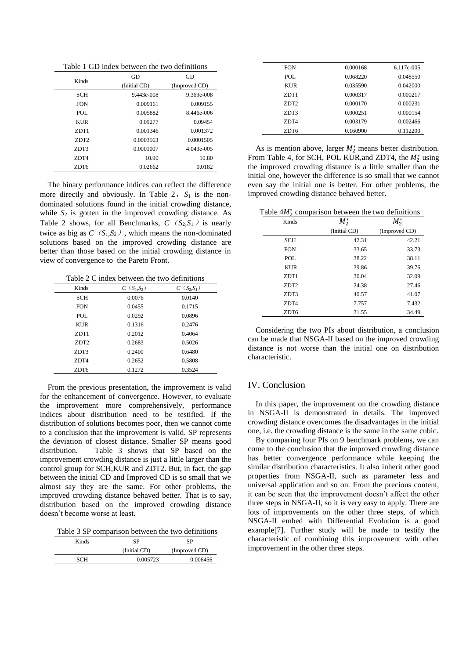Table 1 GD index between the two definitions

<span id="page-4-0"></span>

| Kinds            | GD           | GD            |
|------------------|--------------|---------------|
|                  | (Initial CD) | (Improved CD) |
| <b>SCH</b>       | 9.443e-008   | 9.369e-008    |
| <b>FON</b>       | 0.009161     | 0.009155      |
| POL              | 0.005882     | 8.446e-006    |
| <b>KUR</b>       | 0.09277      | 0.09454       |
| ZDT1             | 0.001346     | 0.001372      |
| ZDT <sub>2</sub> | 0.0003563    | 0.0001505     |
| ZDT3             | 0.0001007    | 4.043e-005    |
| ZDT4             | 10.90        | 10.80         |
| ZDT6             | 0.02662      | 0.0182        |

The binary performance indices can reflect the difference more directly and obviously. In [Table 2](#page-4-1),  $S_1$  is the nondominated solutions found in the initial crowding distance, while  $S_2$  is gotten in the improved crowding distance. As [Table 2](#page-4-1) shows, for all Benchmarks,  $C$  ( $S_2, S_1$ ) is nearly twice as big as  $C(S_1,S_2)$ , which means the non-dominated solutions based on the improved crowding distance are better than those based on the initial crowding distance in view of convergence to the Pareto Front.

Table 2 C index between the two definitions

<span id="page-4-1"></span>

| Kinds            | $C(S_1,S_2)$ | $C(S_2,S_1)$ |
|------------------|--------------|--------------|
| <b>SCH</b>       | 0.0076       | 0.0140       |
| <b>FON</b>       | 0.0455       | 0.1715       |
| POL.             | 0.0292       | 0.0896       |
| <b>KUR</b>       | 0.1316       | 0.2476       |
| ZDT1             | 0.2012       | 0.4064       |
| ZDT <sub>2</sub> | 0.2683       | 0.5026       |
| ZDT3             | 0.2400       | 0.6480       |
| ZDT4             | 0.2652       | 0.5808       |
| ZDT6             | 0.1272       | 0.3524       |

From the previous presentation, the improvement is valid for the enhancement of convergence. However, to evaluate the improvement more comprehensively, performance indices about distribution need to be testified. If the distribution of solutions becomes poor, then we cannot come to a conclusion that the improvement is valid. SP represents the deviation of closest distance. Smaller SP means good distribution. [Table 3](#page-4-2) shows that SP based on the improvement crowding distance is just a little larger than the control group for SCH,KUR and ZDT2. But, in fact, the gap between the initial CD and Improved CD is so small that we almost say they are the same. For other problems, the improved crowding distance behaved better. That is to say, distribution based on the improved crowding distance doesn't become worse at least.

<span id="page-4-2"></span>Table 3 SP comparison between the two definitions

| Kinds | SP           | SP            |
|-------|--------------|---------------|
|       | (Initial CD) | (Improved CD) |
| SCH   | 0.005723     | 0.006456      |

| <b>FON</b>       | 0.000168 | 6.117e-005 |
|------------------|----------|------------|
| POL.             | 0.068220 | 0.048550   |
| <b>KUR</b>       | 0.035590 | 0.042000   |
| ZDT1             | 0.000317 | 0.000217   |
| ZDT <sub>2</sub> | 0.000170 | 0.000231   |
| ZDT3             | 0.000251 | 0.000154   |
| ZDT4             | 0.003179 | 0.002466   |
| ZDT6             | 0.160900 | 0.112200   |

As is mention above, larger  $M_2^*$  means better distribution. From [Table 4,](#page-4-3) for SCH, POL KUR, and ZDT4, the  $M_2^*$  using the improved crowding distance is a little smaller than the initial one, however the difference is so small that we cannot even say the initial one is better. For other problems, the improved crowding distance behaved better.

<span id="page-4-3"></span>Table  $4M_2^*$  comparison between the two definitions

| Kinds            | $M_2^*$      | $M_2^*$       |
|------------------|--------------|---------------|
|                  | (Initial CD) | (Improved CD) |
| <b>SCH</b>       | 42.31        | 42.21         |
| <b>FON</b>       | 33.65        | 33.73         |
| POL.             | 38.22        | 38.11         |
| <b>KUR</b>       | 39.86        | 39.76         |
| ZDT1             | 30.04        | 32.09         |
| ZDT <sub>2</sub> | 24.38        | 27.46         |
| ZDT3             | 40.57        | 41.07         |
| ZDT4             | 7.757        | 7.432         |
| ZDT6             | 31.55        | 34.49         |

Considering the two PIs about distribution, a conclusion can be made that NSGA-II based on the improved crowding distance is not worse than the initial one on distribution characteristic.

# IV. Conclusion

In this paper, the improvement on the crowding distance in NSGA-II is demonstrated in details. The improved crowding distance overcomes the disadvantages in the initial one, i.e. the crowding distance is the same in the same cubic.

By comparing four PIs on 9 benchmark problems, we can come to the conclusion that the improved crowding distance has better convergence performance while keeping the similar distribution characteristics. It also inherit other good properties from NSGA-II, such as parameter less and universal application and so on. From the precious content, it can be seen that the improvement doesn't affect the other three steps in NSGA-II, so it is very easy to apply. There are lots of improvements on the other three steps, of which NSGA-II embed with Differential Evolution is a good example[7]. Further study will be made to testify the characteristic of combining this improvement with other improvement in the other three steps.